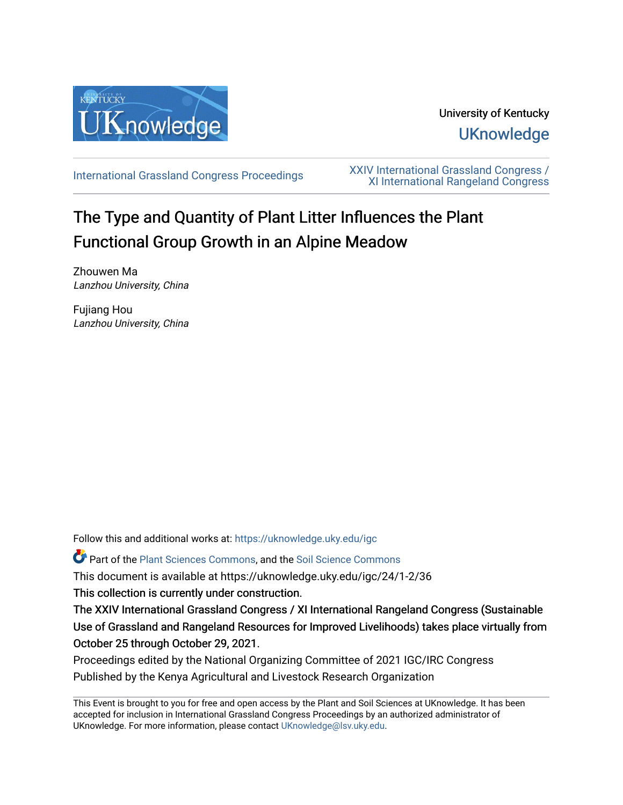

# University of Kentucky **UKnowledge**

[International Grassland Congress Proceedings](https://uknowledge.uky.edu/igc) [XXIV International Grassland Congress /](https://uknowledge.uky.edu/igc/24)  [XI International Rangeland Congress](https://uknowledge.uky.edu/igc/24) 

# The Type and Quantity of Plant Litter Influences the Plant Functional Group Growth in an Alpine Meadow

Zhouwen Ma Lanzhou University, China

Fujiang Hou Lanzhou University, China

Follow this and additional works at: [https://uknowledge.uky.edu/igc](https://uknowledge.uky.edu/igc?utm_source=uknowledge.uky.edu%2Figc%2F24%2F1-2%2F36&utm_medium=PDF&utm_campaign=PDFCoverPages) 

Part of the [Plant Sciences Commons](http://network.bepress.com/hgg/discipline/102?utm_source=uknowledge.uky.edu%2Figc%2F24%2F1-2%2F36&utm_medium=PDF&utm_campaign=PDFCoverPages), and the [Soil Science Commons](http://network.bepress.com/hgg/discipline/163?utm_source=uknowledge.uky.edu%2Figc%2F24%2F1-2%2F36&utm_medium=PDF&utm_campaign=PDFCoverPages) 

This document is available at https://uknowledge.uky.edu/igc/24/1-2/36

This collection is currently under construction.

The XXIV International Grassland Congress / XI International Rangeland Congress (Sustainable Use of Grassland and Rangeland Resources for Improved Livelihoods) takes place virtually from October 25 through October 29, 2021.

Proceedings edited by the National Organizing Committee of 2021 IGC/IRC Congress Published by the Kenya Agricultural and Livestock Research Organization

This Event is brought to you for free and open access by the Plant and Soil Sciences at UKnowledge. It has been accepted for inclusion in International Grassland Congress Proceedings by an authorized administrator of UKnowledge. For more information, please contact [UKnowledge@lsv.uky.edu](mailto:UKnowledge@lsv.uky.edu).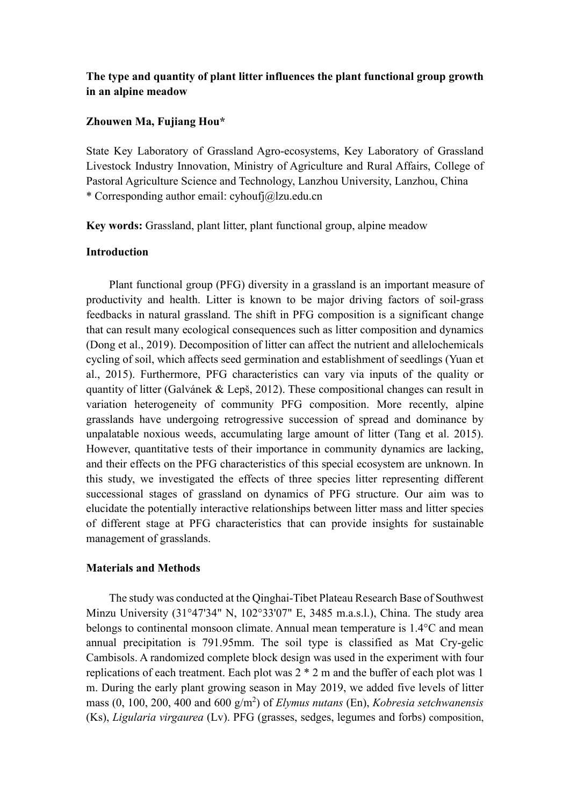# **The type and quantity of plant litter influences the plant functional group growth in an alpine meadow**

## **Zhouwen Ma, Fujiang Hou\***

State Key Laboratory of Grassland Agro-ecosystems, Key Laboratory of Grassland Livestock Industry Innovation, Ministry of Agriculture and Rural Affairs, College of Pastoral Agriculture Science and Technology, Lanzhou University, Lanzhou, China \* Corresponding author email: [cyhoufj@lzu.edu.cn](mailto:cyhoufj@lzu.edu.cn)

**Key words:** Grassland, plant litter, plant functional group, alpine meadow

#### **Introduction**

Plant functional group (PFG) diversity in a grassland is an important measure of productivity and health. Litter is known to be major driving factors of soil-grass feedbacks in natural grassland. The shift in PFG composition is a significant change that can result many ecological consequences such as litter composition and dynamics (Dong et al., 2019). Decomposition of litter can affect the nutrient and allelochemicals cycling of soil, which affects seed germination and establishment of seedlings (Yuan et al., 2015). Furthermore, PFG characteristics can vary via inputs of the quality or quantity of litter (Galvánek & Lepš, 2012). These compositional changes can result in variation heterogeneity of community PFG composition. More recently, alpine grasslands have undergoing retrogressive succession of spread and dominance by unpalatable noxious weeds, accumulating large amount of litter (Tang et al. 2015). However, quantitative tests of their importance in community dynamics are lacking, and their effects on the PFG characteristics of this special ecosystem are unknown. In this study, we investigated the effects of three species litter representing different successional stages of grassland on dynamics of PFG structure. Our aim was to elucidate the potentially interactive relationships between litter mass and litter species of different stage at PFG characteristics that can provide insights for sustainable management of grasslands.

#### **Materials and Methods**

The study was conducted at the Qinghai-Tibet Plateau Research Base of Southwest Minzu University (31°47'34" N, 102°33'07" E, 3485 m.a.s.l.), China. The study area belongs to continental monsoon climate. Annual mean temperature is 1.4°C and mean annual precipitation is 791.95mm. The soil type is classified as Mat Cry-gelic Cambisols. A randomized complete block design was used in the experiment with four replications of each treatment. Each plot was 2 \* 2 m and the buffer of each plot was 1 m. During the early plant growing season in May 2019, we added five levels of litter mass (0, 100, 200, 400 and 600 g/m<sup>2</sup> ) of *Elymus nutans* (En), *Kobresia setchwanensis* (Ks), *Ligularia virgaurea* (Lv). PFG (grasses, sedges, legumes and forbs) composition,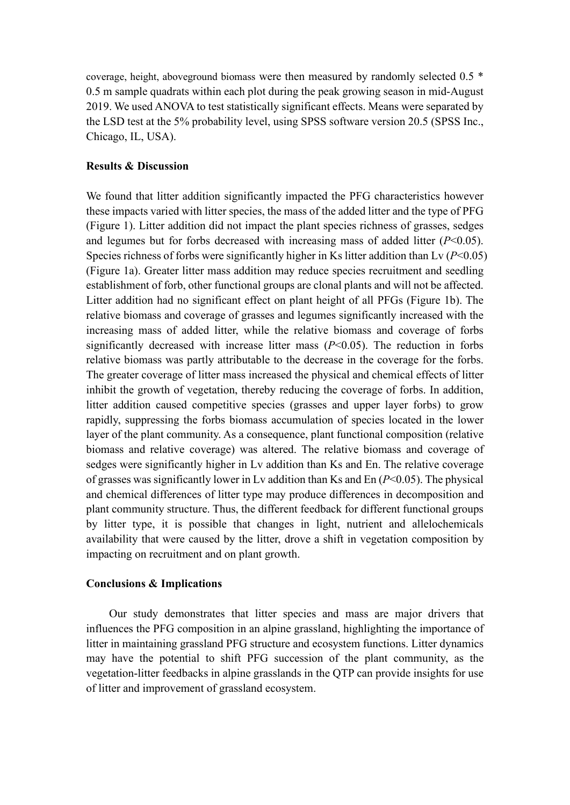coverage, height, aboveground biomass were then measured by randomly selected 0.5 \* 0.5 m sample quadrats within each plot during the peak growing season in mid-August 2019. We used ANOVA to test statistically significant effects. Means were separated by the LSD test at the 5% probability level, using SPSS software version 20.5 (SPSS Inc., Chicago, IL, USA).

#### **Results & Discussion**

We found that litter addition significantly impacted the PFG characteristics however these impacts varied with litter species, the mass of the added litter and the type of PFG (Figure 1). Litter addition did not impact the plant species richness of grasses, sedges and legumes but for forbs decreased with increasing mass of added litter  $(P<0.05)$ . Species richness of forbs were significantly higher in Ks litter addition than Lv (*P*<0.05) (Figure 1a). Greater litter mass addition may reduce species recruitment and seedling establishment of forb, other functional groups are clonal plants and will not be affected. Litter addition had no significant effect on plant height of all PFGs (Figure 1b). The relative biomass and coverage of grasses and legumes significantly increased with the increasing mass of added litter, while the relative biomass and coverage of forbs significantly decreased with increase litter mass (*P*<0.05). The reduction in forbs relative biomass was partly attributable to the decrease in the coverage for the forbs. The greater coverage of litter mass increased the physical and chemical effects of litter inhibit the growth of vegetation, thereby reducing the coverage of forbs. In addition, litter addition caused competitive species (grasses and upper layer forbs) to grow rapidly, suppressing the forbs biomass accumulation of species located in the lower layer of the plant community. As a consequence, plant functional composition (relative biomass and relative coverage) was altered. The relative biomass and coverage of sedges were significantly higher in Lv addition than Ks and En. The relative coverage of grasses was significantly lower in Ly addition than Ks and En  $(P< 0.05)$ . The physical and chemical differences of litter type may produce differences in decomposition and plant community structure. Thus, the different feedback for different functional groups by litter type, it is possible that changes in light, nutrient and allelochemicals availability that were caused by the litter, drove a shift in vegetation composition by impacting on recruitment and on plant growth.

## **Conclusions & Implications**

Our study demonstrates that litter species and mass are major drivers that influences the PFG composition in an alpine grassland, highlighting the importance of litter in maintaining grassland PFG structure and ecosystem functions. Litter dynamics may have the potential to shift PFG succession of the plant community, as the vegetation-litter feedbacks in alpine grasslands in the QTP can provide insights for use of litter and improvement of grassland ecosystem.